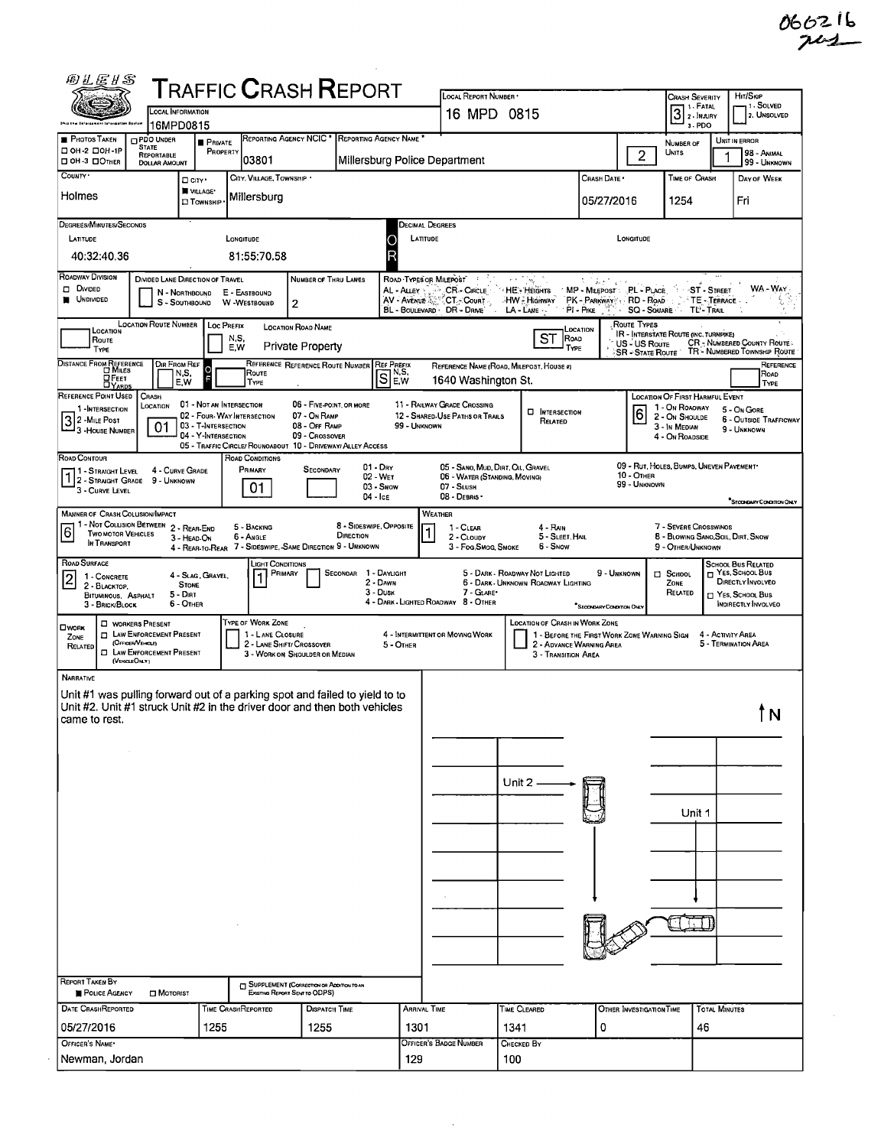| 066216 |  |
|--------|--|
| $74 -$ |  |

|                                                                                               |                                                              |                                                                                                                  |                                       | <b>TRAFFIC CRASH REPORT</b>                                                 |                               | LOCAL REPORT NUMBER *                                                                                                                                |                                                  |                                                                               | H <sub>T</sub> /S <sub>KP</sub><br>Crash Severity<br>, 1 - Solved |                                                                                               |                                         |  |
|-----------------------------------------------------------------------------------------------|--------------------------------------------------------------|------------------------------------------------------------------------------------------------------------------|---------------------------------------|-----------------------------------------------------------------------------|-------------------------------|------------------------------------------------------------------------------------------------------------------------------------------------------|--------------------------------------------------|-------------------------------------------------------------------------------|-------------------------------------------------------------------|-----------------------------------------------------------------------------------------------|-----------------------------------------|--|
|                                                                                               |                                                              | LOCAL INFORMATION<br>16MPD0815                                                                                   |                                       |                                                                             |                               | 16 MPD 0815                                                                                                                                          | 1 - FATAL<br>$31.1$ MJURY<br>3-PDO               | 2. UNSOLVED                                                                   |                                                                   |                                                                                               |                                         |  |
| <b>PHOTOS TAKEN</b><br>□ ОН 2 □ ОН -1Р                                                        | <b>DPDO UNDER</b><br><b>STATE</b><br><b>REPORTABLE</b>       | <b>PRIVATE</b><br>PROPERTY                                                                                       |                                       | REPORTING AGENCY NCIC * REPORTING AGENCY NAME                               |                               |                                                                                                                                                      |                                                  |                                                                               | $\overline{2}$                                                    | NUMBER OF<br><b>UNITS</b>                                                                     | UNIT IN ERROR<br>98 - Animal            |  |
| OH-3 DOTHER<br>COUNTY .                                                                       | <b>DOLLAR AMOUNT</b>                                         |                                                                                                                  | 03801<br>CITY, VILLAGE, TOWNSHIP *    |                                                                             | Millersburg Police Department |                                                                                                                                                      |                                                  |                                                                               |                                                                   | TIME OF CRASH                                                                                 | 99 - UNKNOWN                            |  |
| Holmes                                                                                        |                                                              | □ cm·<br><b>WILLAGE*</b>                                                                                         | Millersburg                           |                                                                             |                               |                                                                                                                                                      |                                                  | Crash Date *                                                                  |                                                                   |                                                                                               | DAY OF WEEK                             |  |
|                                                                                               |                                                              | <b>I</b> Township                                                                                                |                                       |                                                                             |                               |                                                                                                                                                      |                                                  | 05/27/2016                                                                    |                                                                   | 1254                                                                                          | Fri                                     |  |
| <b>DEGREES/MINUTES/SECONDS</b><br>LATITUDE                                                    |                                                              |                                                                                                                  | LONGITUDE                             |                                                                             |                               | DECIMAL DEGREES<br>LATITUDE                                                                                                                          |                                                  |                                                                               | LONGITUDE                                                         |                                                                                               |                                         |  |
| 40:32:40.36                                                                                   |                                                              |                                                                                                                  | 81:55:70.58                           |                                                                             | R                             |                                                                                                                                                      |                                                  |                                                                               |                                                                   |                                                                                               |                                         |  |
| ROADWAY DIVISION<br>DI DIVIDED                                                                |                                                              | DIVIDED LANE DIRECTION OF TRAVEL                                                                                 |                                       | NUMBER OF THRU LANES                                                        |                               | ROAD TYPES OR MILEPOST<br>$\mathcal{L}$                                                                                                              | $\epsilon \in [-\infty]$                         | スパムティック                                                                       |                                                                   | $\sim$                                                                                        | WA - WAY                                |  |
| UNDIVIDED                                                                                     |                                                              | N - Northbound<br>S - SOUTHBOUND                                                                                 | E - EASTBOUND<br><b>W</b> -WESTBOUND  | $\overline{2}$                                                              |                               | AL - ALLEY SALLO CR - CIRCLE<br>$AV - A$ venue $\mathbb{Z}^{\sim}_{\text{loc}}$ $CT_{\mathcal{F}}$ Count $\mathbb{Z}$<br>BL - BOULEVARD · DR - DRIVE | HE HEIGHTS<br>HW - Highway<br>$LA$ - LANE $\sim$ | MP - MILEPOST PL - PLACE<br>PK - PARKWAY + RD - ROAD<br>PI - PIKE SQ - SQUARE |                                                                   | े ∙∽ST - Street<br>TE-TERRACE<br>TL' - Trail                                                  |                                         |  |
| <b>LOCATION</b>                                                                               | <b>LOCATION ROUTE NUMBER</b>                                 |                                                                                                                  | Loc PREFIX                            | <b>LOCATION ROAD NAME</b>                                                   |                               |                                                                                                                                                      |                                                  | LOCATION                                                                      | Route Types                                                       |                                                                                               |                                         |  |
| Route<br>TYPE                                                                                 |                                                              |                                                                                                                  | N,S,<br>E.W                           | Private Property                                                            |                               |                                                                                                                                                      | <b>ST</b><br>Road<br>TYPE                        |                                                                               | US - US Route                                                     | <b>IR - INTERSTATE ROUTE (INC. TURNPIKE)</b><br>SR - STATE ROUTE TR - NUMBERED TOWNSHIP ROUTE | CR - NUMBERED COUNTY ROUTE              |  |
| DISTANCE FROM REFERENCE                                                                       |                                                              | $\begin{array}{ c c }\n\hline\n\text{Dir} \text{From } \text{Ref} \\ \hline\n\text{N.S.} \\ \hline\n\end{array}$ | Route                                 | REFERENCE REFERENCE ROUTE NUMBER                                            | <b>REF PREFIX</b>             |                                                                                                                                                      | REFERENCE NAME (ROAD, MILEPOST, HOUSE #)         |                                                                               |                                                                   |                                                                                               | REFERENCE<br>ROAD                       |  |
| ⊡ Е́ет<br><b>DYARDS</b><br>REFERENCE POINT USED                                               | CRASH                                                        | E.W                                                                                                              | TYPE                                  |                                                                             | S]e.w                         | 1640 Washington St.                                                                                                                                  |                                                  |                                                                               |                                                                   | LOCATION OF FIRST HARMFUL EVENT                                                               | TYPE                                    |  |
| 1-INTERSECTION                                                                                | LOCATION                                                     | 01 - NOT AN INTERSECTION                                                                                         | 02 - FOUR-WAY INTERSECTION            | 06 - FIVE-POINT, OR MORE<br>07 - On RAMP                                    |                               | 11 - RAILWAY GRADE CROSSING<br>12 - SHARED-USE PATHS OR TRAILS                                                                                       | <b>D</b> INTERSECTION                            |                                                                               | ြ                                                                 | 1 - On ROAOWAY<br>2 - ON SHOULDE                                                              | 5 - On Gore<br>6 - OUTSIDE TRAFFICWAY   |  |
| 3 2 - Mile Post<br>- 3 -House Number                                                          | 01                                                           | 03 - T-INTERSECTION<br>04 - Y-INTERSECTION                                                                       |                                       | 08 - Off RAMP<br>09 - Crossover                                             | 99 - UNKNOWN                  |                                                                                                                                                      | RELATED                                          |                                                                               |                                                                   | 3 - In MEDIAN<br>4 - On ROADSIDE                                                              | 9 - UNKNOWN                             |  |
| ROAD CONTOUR                                                                                  |                                                              |                                                                                                                  | ROAD CONDITIONS                       | 05 - TRAFFIC CIRCLE/ ROUNOABOUT 10 - DRIVEWAY/ ALLEY ACCESS                 |                               |                                                                                                                                                      |                                                  |                                                                               |                                                                   |                                                                                               |                                         |  |
| 1 - Straight Level<br>2 - STRAIGHT GRADE 9 - UNKNOWN                                          |                                                              | 4 - CURVE GRADE                                                                                                  | PRIMARY                               | <b>SECONDARY</b>                                                            | $01 - DrY$<br>02 - WET        | 05 - SANO, MUD, DIRT, OIL, GRAVEL<br>06 - WATER (STANDING, MOVING)                                                                                   |                                                  |                                                                               | 10 - OTHER<br>99 - UNKNOWN                                        | 09 - RUT, HOLES, BUMPS, UNEVEN PAVEMENT                                                       |                                         |  |
| 3 - CURVE LEVEL                                                                               |                                                              |                                                                                                                  | 01                                    |                                                                             | 03 - Snow<br>04 - Ice         | 07 - SLUSH<br>08 - DEBRIS ·                                                                                                                          |                                                  |                                                                               |                                                                   |                                                                                               | <sup>*</sup> SECONDARY CONDITION ONLY   |  |
| MANNER OF CRASH COLUSION/IMPACT<br>1 - Not Collision Between 2 - Rear-End                     |                                                              |                                                                                                                  | 5 - BACKING                           |                                                                             | 8 - SIDESWIPE, OPPOSITE       | <b>WEATHER</b><br>1 - CLEAR                                                                                                                          | 4 - RAIN                                         |                                                                               |                                                                   | 7 - SEVERE CROSSWINOS                                                                         |                                         |  |
| $\overline{6}$<br><b>TWO MOTOR VEHICLES</b><br>IN TRANSPORT                                   |                                                              | 3 - HEAD ON                                                                                                      | 6 - Angle                             | DIRECTION<br>4 - REAR-TO-REAR 7 - SIDESWIPE, SAME DIRECTION 9 - UNKNOWN     |                               | 1<br>2 - CLOUDY<br>3 - Fog Smog, Smoke                                                                                                               | 5 - SLEET, HAIL<br>6 - Snow                      |                                                                               |                                                                   | 8 - BLOWING SANO, SOIL, DIRT, SNOW<br>9 - OTHER/UNKNOWN                                       |                                         |  |
| ROAD SURFACE                                                                                  |                                                              |                                                                                                                  | Light Conditions<br>PRIMARY           |                                                                             | SECONOAR 1 - DAYLIGHT         |                                                                                                                                                      | 5 - DARK - ROADWAY NOT LIGHTED                   | 9 - UNKNOWN                                                                   |                                                                   |                                                                                               | SCHOOL BUS RELATED<br>T YES, SCHOOL BUS |  |
| 1 - CONCRETE<br>$\overline{c}$<br>2 - BLACKTOP,<br>BITUMINOUS, ASPHALT                        |                                                              | 4 - SLAG, GRAVEL,<br><b>STONE</b><br>$5 - D RT$                                                                  | 1                                     |                                                                             | 2 - DAWN<br>3 - Dusk          | 7 - GLARE*                                                                                                                                           | 6 - Dark - Unknown Roadway Lighting              |                                                                               |                                                                   | C SCHOOL<br>ZONE<br>RELATED                                                                   | DIRECTLY INVOLVED<br>YES, SCHOOL BUS    |  |
| 3 - BRICK/BLOCK                                                                               |                                                              | 6 - OTHER                                                                                                        |                                       |                                                                             |                               | 4 - DARK - LIGHTED ROADWAY 8 - OTHER                                                                                                                 |                                                  | SECONDARY CONDITION ONLY                                                      |                                                                   |                                                                                               | <b>INDIRECTLY INVOLVED</b>              |  |
| <b>OWORK</b>                                                                                  | <b>D</b> WORKERS PRESENT<br><b>D</b> LAW ENFORCEMENT PRESENT |                                                                                                                  | TYPE OF WORK ZONE<br>1 - LANE CLOSURE |                                                                             |                               | 4 - INTERMITTENT OR MOVING WORK                                                                                                                      | <b>LOCATION OF CRASH IN WORK ZONE</b>            | 1 - BEFORE THE FIRST WORK ZONE WARNING SIGN                                   |                                                                   |                                                                                               | 4 - ACTIVITY AREA                       |  |
|                                                                                               |                                                              |                                                                                                                  |                                       | 2 - LANE SHIFT/ CROSSOVER                                                   | 5 - OTHER                     |                                                                                                                                                      |                                                  | 2 - ADVANCE WARNING AREA                                                      |                                                                   |                                                                                               | 5 - TERMINATION AREA                    |  |
|                                                                                               | (OFFICER/VEHICLE)<br><b>I LAW ENFORCEMENT PRESENT</b>        |                                                                                                                  |                                       | 3 - WORK ON SHOULDER OR MEDIAN                                              |                               |                                                                                                                                                      | 3 - Transition Area                              |                                                                               |                                                                   |                                                                                               |                                         |  |
|                                                                                               | (VEKCLEONLY)                                                 |                                                                                                                  |                                       |                                                                             |                               |                                                                                                                                                      |                                                  |                                                                               |                                                                   |                                                                                               |                                         |  |
|                                                                                               |                                                              |                                                                                                                  |                                       | Unit #1 was pulling forward out of a parking spot and failed to yield to to |                               |                                                                                                                                                      |                                                  |                                                                               |                                                                   |                                                                                               |                                         |  |
|                                                                                               |                                                              |                                                                                                                  |                                       | Unit #2. Unit #1 struck Unit #2 in the driver door and then both vehicles   |                               |                                                                                                                                                      |                                                  |                                                                               |                                                                   |                                                                                               |                                         |  |
|                                                                                               |                                                              |                                                                                                                  |                                       |                                                                             |                               |                                                                                                                                                      |                                                  |                                                                               |                                                                   |                                                                                               |                                         |  |
|                                                                                               |                                                              |                                                                                                                  |                                       |                                                                             |                               |                                                                                                                                                      |                                                  |                                                                               |                                                                   |                                                                                               |                                         |  |
|                                                                                               |                                                              |                                                                                                                  |                                       |                                                                             |                               |                                                                                                                                                      | Unit 2 -                                         |                                                                               |                                                                   |                                                                                               |                                         |  |
|                                                                                               |                                                              |                                                                                                                  |                                       |                                                                             |                               |                                                                                                                                                      |                                                  |                                                                               |                                                                   |                                                                                               |                                         |  |
|                                                                                               |                                                              |                                                                                                                  |                                       |                                                                             |                               |                                                                                                                                                      |                                                  |                                                                               |                                                                   | Unit 1                                                                                        |                                         |  |
|                                                                                               |                                                              |                                                                                                                  |                                       |                                                                             |                               |                                                                                                                                                      |                                                  |                                                                               |                                                                   |                                                                                               |                                         |  |
|                                                                                               |                                                              |                                                                                                                  |                                       |                                                                             |                               |                                                                                                                                                      |                                                  |                                                                               |                                                                   |                                                                                               |                                         |  |
|                                                                                               |                                                              |                                                                                                                  |                                       |                                                                             |                               |                                                                                                                                                      |                                                  |                                                                               |                                                                   |                                                                                               |                                         |  |
|                                                                                               |                                                              |                                                                                                                  |                                       |                                                                             |                               |                                                                                                                                                      |                                                  |                                                                               |                                                                   |                                                                                               |                                         |  |
|                                                                                               |                                                              |                                                                                                                  |                                       |                                                                             |                               |                                                                                                                                                      |                                                  |                                                                               |                                                                   |                                                                                               |                                         |  |
|                                                                                               |                                                              |                                                                                                                  |                                       |                                                                             |                               |                                                                                                                                                      |                                                  |                                                                               |                                                                   |                                                                                               |                                         |  |
|                                                                                               |                                                              |                                                                                                                  |                                       | SUPPLEMENT (CORRECTION OR ADDITION TO AN                                    |                               |                                                                                                                                                      |                                                  |                                                                               |                                                                   |                                                                                               |                                         |  |
| POLICE AGENCY                                                                                 | <b>D</b> MOTORIST                                            |                                                                                                                  |                                       | Existing Report Sent to ODPS)                                               |                               |                                                                                                                                                      |                                                  |                                                                               |                                                                   |                                                                                               |                                         |  |
| ZONE<br>RELATED<br>NARRATIVE<br>came to rest.<br><b>REPORT TAKEN BY</b><br>DATE CRASHREPORTED |                                                              |                                                                                                                  | TIME CRASHREPORTED                    | DISPATCH TIME                                                               |                               | ARRIVAL TIME                                                                                                                                         | <b>TIME CLEARED</b>                              |                                                                               | <b>OTHER INVESTIGATION TIME</b>                                   | <b>TOTAL MINUTES</b>                                                                          | ŢΝ                                      |  |
| 05/27/2016<br>OFFICER'S NAME*                                                                 |                                                              | 1255                                                                                                             |                                       | 1255                                                                        | 1301                          | OFFICER'S BADGE NUMBER                                                                                                                               | 1341<br>CHECKED BY                               | 0                                                                             |                                                                   | 46                                                                                            |                                         |  |

 $\mathcal{L}^{\text{max}}$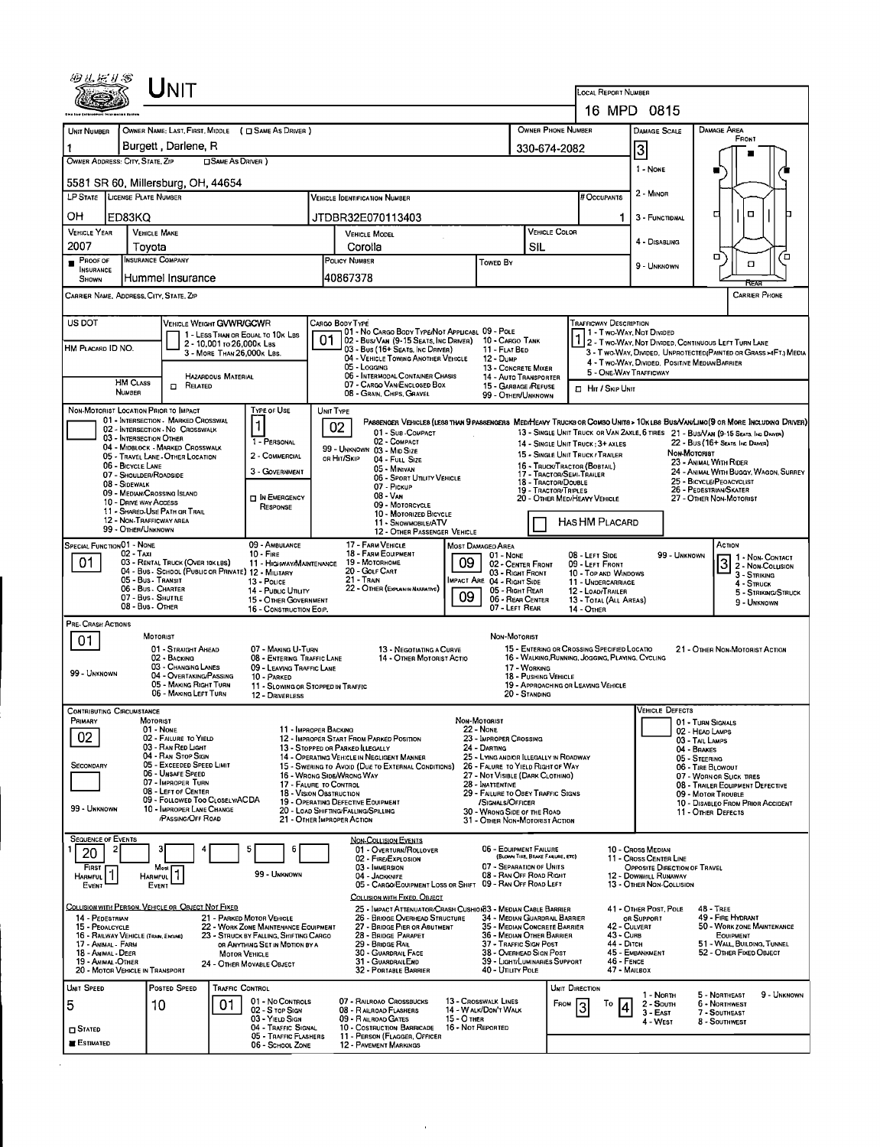| UNIT                                                                                               |                                                                                |                                                                                                  |                                                                                            |                                                                                                 |                                                                                 |                                                                                                                              |  |  |  |
|----------------------------------------------------------------------------------------------------|--------------------------------------------------------------------------------|--------------------------------------------------------------------------------------------------|--------------------------------------------------------------------------------------------|-------------------------------------------------------------------------------------------------|---------------------------------------------------------------------------------|------------------------------------------------------------------------------------------------------------------------------|--|--|--|
|                                                                                                    |                                                                                |                                                                                                  |                                                                                            | LOCAL REPORT NUMBER                                                                             | 16 MPD 0815                                                                     |                                                                                                                              |  |  |  |
| UNIT NUMBER                                                                                        | OWNER NAME: LAST, FIRST, MIDDLE ( C SAME AS DRIVER )                           |                                                                                                  | OWNER PHONE NUMBER                                                                         | <b>DAMAGE SCALE</b>                                                                             | <b>DAMAGE AREA</b>                                                              |                                                                                                                              |  |  |  |
| Burgett, Darlene, R<br>1                                                                           |                                                                                |                                                                                                  |                                                                                            | 330-674-2082                                                                                    | 3                                                                               |                                                                                                                              |  |  |  |
| OWNER ADDRESS: CITY, STATE, ZIP                                                                    |                                                                                | 1 - NONE                                                                                         |                                                                                            |                                                                                                 |                                                                                 |                                                                                                                              |  |  |  |
| 5581 SR 60, Millersburg, OH, 44654                                                                 | 2 - MINOR                                                                      |                                                                                                  |                                                                                            |                                                                                                 |                                                                                 |                                                                                                                              |  |  |  |
| LP STATE LICENSE PLATE NUMBER                                                                      |                                                                                |                                                                                                  | # OCCUPANTS                                                                                |                                                                                                 |                                                                                 |                                                                                                                              |  |  |  |
| OН<br>ED83KQ<br><b>VEHICLE YEAR</b><br><b>VEHICLE MAKE</b>                                         |                                                                                | JTDBR32E070113403                                                                                |                                                                                            | <b>VEHICLE COLOR</b>                                                                            | 3 - FUNCTIDNAL                                                                  | $\Box$<br>о                                                                                                                  |  |  |  |
| 2007<br>Tovota                                                                                     |                                                                                | VEHICLE MODEL<br>Corolla                                                                         |                                                                                            | SIL                                                                                             | 4 - DISABLING                                                                   |                                                                                                                              |  |  |  |
| INSURANCE COMPANY<br>PROOF OF<br><b>INSURANCE</b>                                                  |                                                                                | POLICY NUMBER                                                                                    | Towed By                                                                                   |                                                                                                 | 9 - UNKNOWN                                                                     | о<br>′□<br>α                                                                                                                 |  |  |  |
| Hummel Insurance<br>SHOWN                                                                          |                                                                                | 40867378                                                                                         |                                                                                            |                                                                                                 |                                                                                 |                                                                                                                              |  |  |  |
| CARRIER NAME, ADDRESS, CITY, STATE, ZIP                                                            |                                                                                |                                                                                                  |                                                                                            |                                                                                                 |                                                                                 | <b>CARRIER PHONE</b>                                                                                                         |  |  |  |
| US DOT                                                                                             | VEHICLE WEIGHT GVWR/GCWR<br>1 - LESS THAN OR EQUAL TO 10K LBS                  | CARGO BODY TYPE<br>01 - No CARGO BODY TYPE/NOT APPLICABL 09 - POLE                               |                                                                                            | THE VESCRIPTION                                                                                 |                                                                                 |                                                                                                                              |  |  |  |
| HM PLACARD ID NO.                                                                                  | 2 - 10,001 to 26,000 k Las<br>3 - MORE THAN 26,000K LBS.                       | 01<br>02 - Bus/Van (9-15 Seats, Inc Driver) 10 - Cargo Tank<br>03 - Bus (16+ Seats, Inc Driver)  | 11 - FLAT BED                                                                              |                                                                                                 |                                                                                 | 2 - Two Way, Not Divided, Continuous Left Turn Lane<br>3 - T WO-WAY, DIVIDED, UNPROTECTED (PAINTED OR GRASS >4FT.) MEDIA     |  |  |  |
|                                                                                                    | HAZARDOUS MATERIAL                                                             | 04 - VEHICLE TOWING ANOTHER VEHICLE<br>05 - Logging<br>06 - INTERMODAL CONTAINER CHASIS          | 12 - Dump<br>13 - CONCRETE MIXER<br>14 - AUTO TRANSPORTER                                  | 5 - ONE-WAY TRAFFICWAY                                                                          | 4 - Two-Way, Divided, Positive Median Barrier                                   |                                                                                                                              |  |  |  |
| <b>HM CLASS</b><br>$\Box$ Related<br><b>NUMBER</b>                                                 |                                                                                | 07 - CARGO VAN/ENCLOSED BOX<br>08 - GRAIN, CHIPS, GRAVEL                                         | 15 - GARBAGE /REFUSE<br>99 - OTHER/UNKNOWN                                                 | <b>D</b> HIT / SKIP UNIT                                                                        |                                                                                 |                                                                                                                              |  |  |  |
| NON-MOTORIST LOCATION PRIOR TO IMPACT                                                              | <b>TYPE OF USE</b>                                                             | UNIT TYPE                                                                                        |                                                                                            |                                                                                                 |                                                                                 |                                                                                                                              |  |  |  |
| 01 - INTERSECTION - MARKED CROSSWAL<br>02 - INTERSECTION - NO CROSSWALK<br>03 - INTERSECTION OTHER |                                                                                | 02<br>01 - Sus-COMPACT                                                                           |                                                                                            | 13 - SINGLE UNIT TRUCK OR VAN 2AXLE, 6 TIRES 21 - BUS/VAN (9-15 SEATS, INC DRAYER)              |                                                                                 | PASSENGER VEHICLES (LESS THAN 9 PASSENGERS MEDIHEAVY TRUCKS OR COMBO UNITS > 10KLBS BUS/VAN/LIMO(9 OR MORE INCLUDING DRIVER) |  |  |  |
| 04 - MIDBLOCK - MARKED CROSSWALK<br>05 - TRAVEL LANE - OTHER LOCATION                              | 1 - PERSONAL<br>2 - COMMERCIAL                                                 | 02 - COMPACT<br>99 - UNKNOWN 03 - MID SIZE<br>or Hit/Skip<br>04 - FULL SIZE                      |                                                                                            | 14 - SINGLE UNIT TRUCK : 3+ AXLES<br>15 - SINGLE UNIT TRUCK / TRAILER                           | NON-MOTORIST                                                                    | 22 - BUS (16+ SEATS, INC DRIVER)                                                                                             |  |  |  |
| 06 - BICYCLE LANE<br>07 - SHOULDER/ROADSIDE                                                        | 3 - GOVERNMENT                                                                 | 05 - MINIVAN<br>06 - SPORT UTILITY VEHICLE                                                       |                                                                                            | 16 - TRUCK/TRACTOR (BOBTAIL)<br>17 - TRACTOR/SEMI-TRAILER                                       |                                                                                 | 23 - Animal With Rider<br>24 - ANIMAL WITH BUGGY, WAGON, SURREY                                                              |  |  |  |
| 08 - SIDEWALK<br>09 - MEDIAN/CROSSING ISLAND                                                       | IN EMERGENCY                                                                   | 07 - PICKUP<br>08 - VAN                                                                          |                                                                                            | 18 - TRACTOR/DOUBLE<br>19 - TRACTOR/TRIPLES<br>20 - OTHER MED/HEAVY VEHICLE                     |                                                                                 | 25 - BICYCLE/PFOACYCLIST<br>26 - PEDESTRIAN/SKATER<br>27 - OTHER NON MOTORIST                                                |  |  |  |
| 10 - DRIVE WAY ACCESS<br>11 - SHARED-USE PATH OR TRAIL<br>12 - NON-TRAFFICWAY AREA                 | RESPONSE                                                                       | 09 MOTORCYCLE<br>10 - MOTORIZED BICYCLE                                                          |                                                                                            |                                                                                                 | Has HM Placard                                                                  |                                                                                                                              |  |  |  |
| 99 - OTHER/UNKNOWN                                                                                 |                                                                                | 11 - SNOWMOBILE/ATV<br>12 - OTHER PASSENGER VEHICLE                                              |                                                                                            |                                                                                                 |                                                                                 |                                                                                                                              |  |  |  |
| <b>SPECIAL FUNCTION 01 - NONE</b><br>02 - Taxi<br>01<br>03 - RENTAL TRUCK (OVER 10KLBS)            | 09 - AMBULANCE<br>$10 -$ Fire<br>11 - HIGHWAY/MAINTENANCE                      | 17 - FARM VEHICLE<br>18 - FARM EOUIPMENT<br>19 - Мотовноме                                       | <b>MOST DAMAGED AREA</b><br>01 - NONE<br>09<br>02 - CENTER FRONT                           | 08 - LEFT SIDE<br>09 - LEFT FRONT                                                               | 99 - UNKNOWN                                                                    | Астюм<br>1 - Non-Contact<br>3 2 - NON-COLUSION                                                                               |  |  |  |
| 05 - Bus - Transit                                                                                 | 04 - Bus - School (Public or Private) 12 - Military<br>13 - Pouce              | 20 - GOLF CART<br>21 - TRAIN                                                                     | 03 - RIGHT FRONT<br>MPACT ARE 04 - RIGHT SIDE                                              | 10 - TOP AND WINDOWS<br>11 - UNDERCARRIAGE                                                      |                                                                                 | 3 - STRIKING<br>4 - STRUCK                                                                                                   |  |  |  |
| 06 - Bus. Charter<br>07 - Bus - SHUTTLE                                                            | 14 - PUBLIC UTLITY<br>15 - OTHER GOVERNMENT                                    | 22 - OTHER (EXPLAININ NARRATIVE)                                                                 | 05 - RIGHT REAR<br>09<br>06 - REAR CENTER                                                  | 12 - LOAD/TRAILER<br>13 - TOTAL (ALL AREAS)                                                     |                                                                                 | 5 - STRIKING/STRUCK<br>9 - UNKNOWN                                                                                           |  |  |  |
| 08 - Bus - Other<br>PRE-CRASH ACTIONS                                                              | 16 - CONSTRUCTION EOIP.                                                        |                                                                                                  | 07 - LEFT REAR                                                                             | 14 - OTHER                                                                                      |                                                                                 |                                                                                                                              |  |  |  |
| MOTORIST<br>01                                                                                     |                                                                                |                                                                                                  | NON MOTORIST                                                                               |                                                                                                 |                                                                                 |                                                                                                                              |  |  |  |
| 01 - STRAIGHT AHEAD<br>02 - BACKING<br>03 - CHANGING LANES                                         | 07 - MAKING U-TURN<br>08 - ENTERING TRAFFIC LANE<br>09 - LEAVING TRAFFIC LANE  | 13 - NEGOTIATING A CURVE<br>14 - OTHER MOTORIST ACTIO                                            | 17 - WORKING                                                                               | 15 - ENTERING OR CROSSING SPECIFIED LOCATIO<br>16 - WALKING, RUNNING, JOGGING, PLAYING, CYCLING |                                                                                 | 21 - OTHER NON-MOTORIST ACTION                                                                                               |  |  |  |
| 99 - UNKNOWN<br>05 - MAKING RIGHT TURN                                                             | 04 - OVERTAKING/PASSING<br>10 PARKED                                           | 11 - SLOWING OR STOPPED IN TRAFFIC                                                               |                                                                                            | 18 - PUSHING VEHICLE<br>19 - APPROACHING OR LEAVING VEHICLE                                     |                                                                                 |                                                                                                                              |  |  |  |
| 06 - MAKING LEFT TURN                                                                              | 12 - DRIVERLESS                                                                |                                                                                                  | 20 - STANDING                                                                              |                                                                                                 | <b>VEHICLE DEFECTS</b>                                                          |                                                                                                                              |  |  |  |
| <b>CONTRIBUTING CIRCUMSTANCE</b><br>PRIMARY<br>MOTORIST<br>01 - NONE                               |                                                                                | 11 - IMPROPER BACKING                                                                            | Non-Motorist<br><b>22 - NONE</b>                                                           |                                                                                                 |                                                                                 | 01 - TURN SIGNALS                                                                                                            |  |  |  |
| 02<br>02 - FAILURE TO YIELD<br>03 - RAN RED LIGHT                                                  |                                                                                | 12 - IMPROPER START FROM PARKED POSITION<br>13 - STOPPED OR PARKED ILLEGALLY                     | 23 - IMPROPER CROSSING<br>24 - DARTING                                                     |                                                                                                 |                                                                                 | 02 - HEAD LAMPS<br>03 - TAIL LAMPS<br>04 - BRAKES                                                                            |  |  |  |
| 04 - RAN STOP SIGN<br>05 - Exceeded Speed LIMIT<br>SECONDARY                                       |                                                                                | 14 - OPERATING VEHICLE IN NEGLIGENT MANNER<br>15 - Swering to Avoid (Due to External Conditions) | 25 - LYING AND/OR ILLEGALLY IN ROADWAY<br>26 - FALURE TO YIELD RIGHT OF WAY                |                                                                                                 |                                                                                 | 05 - STEERING<br>06 - TIRE BLOWOUT                                                                                           |  |  |  |
| 06 - UNSAFE SPEED<br>07 - IMPROPER TURN<br>08 - LEFT OF CENTER                                     |                                                                                | 16 - WRONG SIDE/WRONG WAY<br>17 - FALURE TO CONTROL<br>18 - VISION OBSTRUCTION                   | 27 - Not Visible (DARK Clothing)<br>28 - INATTENTIVE<br>29 - FAILURE TO OBEY TRAFFIC SIGNS |                                                                                                 |                                                                                 | 07 - WORN OR SLICK TIRES<br>08 - TRAILER EQUIPMENT DEFECTIVE                                                                 |  |  |  |
| 99 - UNKNOWN<br>10 - IMPROPER LANE CHANGE                                                          | 09 - FOLLOWED TOO CLOSELY/ACDA                                                 | 19 - OPERATING DEFECTIVE EQUIPMENT<br>20 - LOAD SHIFTING/FALLING/SPILLING                        | /SIGNALS/OFFICER<br>30<br>- WRONG SIDE OF THE ROAD                                         |                                                                                                 |                                                                                 | 09 - MOTOR TROUBLE<br>10 - DISABLEO FROM PRIOR ACCIDENT<br>11 - OTHER DEFECTS                                                |  |  |  |
| PASSING/OFF ROAD                                                                                   |                                                                                | 21 - OTHER IMPROPER ACTION                                                                       | 31 - OTHER NON-MOTORIST ACTION                                                             |                                                                                                 |                                                                                 |                                                                                                                              |  |  |  |
| <b>SEQUENCE OF EVENTS</b><br>з<br>2<br>20                                                          | 5<br>6                                                                         | <b>NON-COLLISION EVENTS</b><br>01 - OVERTURN/ROLLOVER                                            | 06 - EQUIPMENT FAILURE                                                                     |                                                                                                 | 10 - Cross Median                                                               |                                                                                                                              |  |  |  |
| <b>FIRST</b><br>Most                                                                               | 99 - UNKNOWN                                                                   | 02 - FIRE/EXPLOSION<br>03 - IMMERSION<br>04 - JACKKNIFE                                          | 07 - SEPARATION OF UNITS<br>08 - RAN OFF ROAD RIGHT                                        | (BLOWN TIRE, BRAKE FAILURE, ETC)                                                                | 11 - Cross Center LINE<br>OPPOSITE DIRECTION OF TRAVEL<br>12 - DOWNHILL RUNAWAY |                                                                                                                              |  |  |  |
| HARMFUL<br><b>HARMFUL</b><br>EVENT<br>EVENT                                                        |                                                                                | 05 - CARGO/EOUIPMENT LOSS OR SHIFT<br>COLUSION WITH FIXED, OBJECT                                | 09 - RAN OFF ROAD LEFT                                                                     |                                                                                                 | 13 - OTHER NON-COLLISION                                                        |                                                                                                                              |  |  |  |
| COLLISION WITH PERSON, VEHICLE OR OBJECT NOT FIXED<br>14 - PEDESTRIAN                              | 21 - PARKED MOTOR VEHICLE                                                      | 26 - BRIOGE OVERHEAD STRUCTURE                                                                   | 25 - IMPACT ATTENUATOR/CRASH CUSHION33 - MEDIAN CABLE BARRIER                              | 34 - MEDIAN GUARDRAIL BARRIER                                                                   | 41 - OTHER POST, POLE<br>OR SUPPORT                                             | <b>48 - TREE</b><br>49 - FIRE HYDRANT                                                                                        |  |  |  |
| 15 - PEOALCYCLE<br>16 - RAILWAY VEHICLE (TRAN, ENGINE)                                             | 22 - WORK ZONE MAINTENANCE EQUIPMENT<br>23 - STRUCK BY FALLING, SHIFTING CARGO | 27 - BRIDGE PIER OR ABUTMENT<br>28 - BRIDGE PARAPET                                              | 35 - Median Concrete Barrier<br>36 - Median Other Barrier                                  | 43 - Curs                                                                                       | 42 - CULVERT                                                                    | 50 - WORK ZONE MAINTENANCE<br>EQUIPMENT                                                                                      |  |  |  |
| 17 - Animal - Farm<br>18 - Animal - Deer                                                           | OR ANYTHING SET IN MOTION BY A<br><b>MOTOR VEHICLE</b>                         | 29 - BRIDGE RAIL<br>30 - GUARDRAIL FACE                                                          | 37 - Traffic Sign Post<br>38 - Overhead Sign Post                                          | 44 - Опсн                                                                                       | 45 - EMBANKMENT                                                                 | 51 - WALL, BUILDING, TUNNEL<br>52 - OTHER FIXED OBJECT                                                                       |  |  |  |
| 19 - ANIMAL OTHER<br>20 - MOTOR VEHICLE IN TRANSPORT                                               | 24 - Отнея МоvaвLE Овлест                                                      | 31 - GUARDRAILEND<br>32 - PORTABLE BARRIER                                                       | 39 - LIGHT/LUMINARIES SUPPORT<br>40 - UTILITY POLE                                         | 46 - FENCE                                                                                      | 47 - MALBOX                                                                     |                                                                                                                              |  |  |  |
| UNIT SPEED<br>POSTED SPEED                                                                         | TRAFFIC CONTROL<br>01 - No Controls                                            | 07 - RAILROAD CROSSBUCKS                                                                         | 13 - Crosswalk Lines                                                                       | UNIT DIRECTION                                                                                  | 1 - North                                                                       | 9 - UNKNOWN<br>5 - Northeast                                                                                                 |  |  |  |
| 5<br>10                                                                                            | 01<br>02 - S TOP SIGN<br>03 - YIELD SIGN                                       | 08 - RAILROAD FLASHERS<br>09 - RALROAD GATES                                                     | 14 - W ALK/DON'T WALK<br>15 - О тнєв                                                       | FROM<br>To<br>3                                                                                 | 2 - South<br>3 - East<br>4 - West                                               | 6 - Northwest<br>7 - SOUTHEAST<br>8 - SOUTHWEST                                                                              |  |  |  |
| $\square$ Stated<br><b>ESTIMATED</b>                                                               | 04 - TRAFFIC SIGNAL<br>05 - TRAFFIC FLASHERS                                   | 10 - COSTRUCTION BARRICADE<br>11 - PERSON (FLAGGER, OFFICER                                      | 16 - Not Reported                                                                          |                                                                                                 |                                                                                 |                                                                                                                              |  |  |  |
|                                                                                                    | 06 - SCHOOL ZONE                                                               | 12 - PAVEMENT MARKINGS                                                                           |                                                                                            |                                                                                                 |                                                                                 |                                                                                                                              |  |  |  |

 $\sim$   $\alpha$ 

 $\Delta \sim 10^{11}$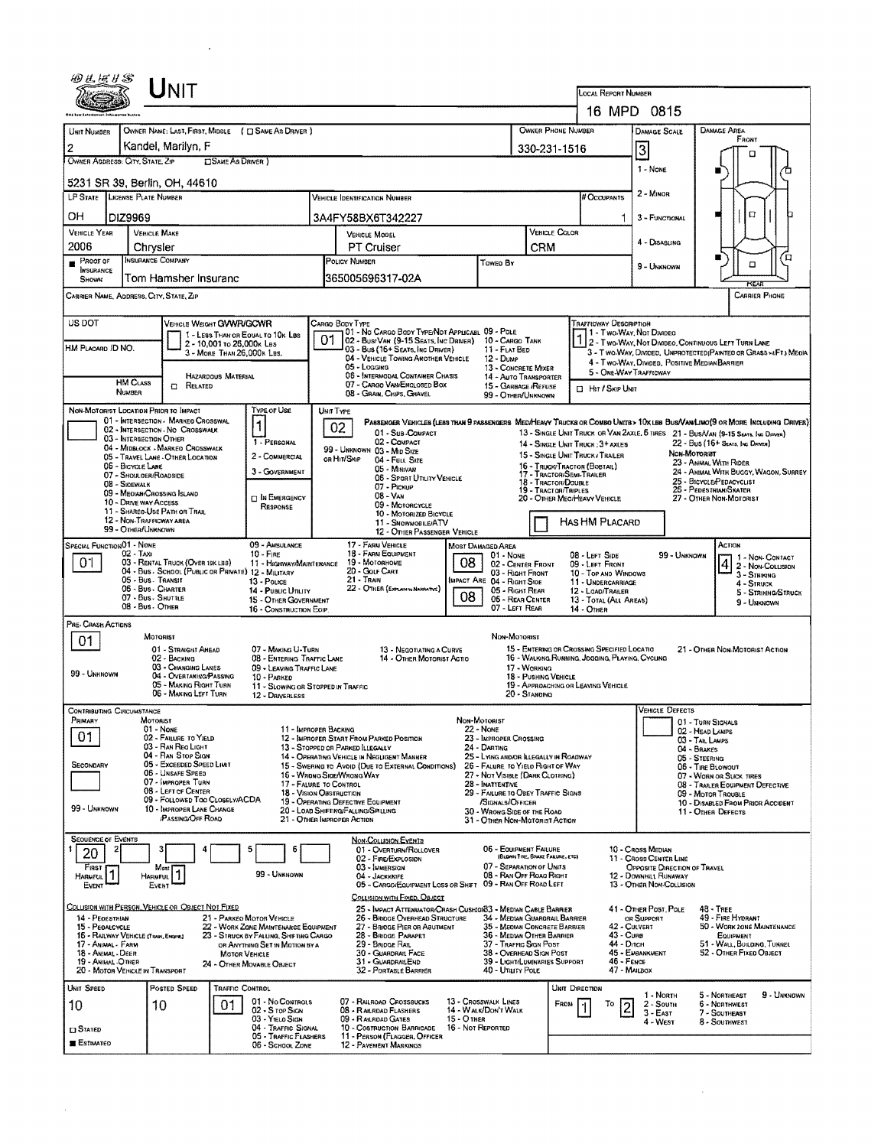|                                                         | UNIT                                                                     |                                                                                |                                                     |                                                                                                     |                                  |                                                               |                                 |                                                           |                                                                       |                                                                                  |                                   |                                                                                                                               |  |  |
|---------------------------------------------------------|--------------------------------------------------------------------------|--------------------------------------------------------------------------------|-----------------------------------------------------|-----------------------------------------------------------------------------------------------------|----------------------------------|---------------------------------------------------------------|---------------------------------|-----------------------------------------------------------|-----------------------------------------------------------------------|----------------------------------------------------------------------------------|-----------------------------------|-------------------------------------------------------------------------------------------------------------------------------|--|--|
|                                                         |                                                                          |                                                                                |                                                     |                                                                                                     |                                  |                                                               |                                 |                                                           | LOCAL REPORT NUMBER<br>16 MPD 0815                                    |                                                                                  |                                   |                                                                                                                               |  |  |
|                                                         |                                                                          |                                                                                |                                                     |                                                                                                     |                                  |                                                               |                                 | OWNER PHONE NUMBER                                        |                                                                       |                                                                                  |                                   |                                                                                                                               |  |  |
| UNIT NUMBER                                             |                                                                          | OWNER NAME: LAST, FIRST, MIDDLE ( C) SAME AS DRIVER )                          |                                                     |                                                                                                     |                                  |                                                               |                                 |                                                           | <b>DAMAGE SCALE</b>                                                   |                                                                                  | DAMAGE AREA<br>FRONT              |                                                                                                                               |  |  |
| 2<br>OWNER ADDRESS: CITY, STATE, ZIP                    | Kandel, Marilyn, F                                                       | <b>CISAME AS DRIVER 1</b>                                                      |                                                     |                                                                                                     |                                  |                                                               |                                 | 330-231-1516                                              |                                                                       | 3                                                                                |                                   | m                                                                                                                             |  |  |
| 1 - NONE<br>5231 SR 39, Berlin, OH, 44610               |                                                                          |                                                                                |                                                     |                                                                                                     |                                  |                                                               |                                 |                                                           |                                                                       |                                                                                  |                                   |                                                                                                                               |  |  |
| LP STATE LICENSE PLATE NUMBER                           |                                                                          |                                                                                |                                                     | <b>VEHICLE IDENTIFICATION NUMBER</b>                                                                |                                  |                                                               |                                 |                                                           | # Occupants                                                           | 2 - Minon                                                                        |                                   |                                                                                                                               |  |  |
| OН<br>DIZ9969                                           |                                                                          |                                                                                |                                                     | 3A4FY58BX6T342227                                                                                   |                                  |                                                               |                                 |                                                           |                                                                       | 3 - FUNCTIONAL                                                                   | □                                 |                                                                                                                               |  |  |
| <b>VEHICLE YEAR</b><br>2006                             | <b>VEHICLE MAKE</b><br>Chrysler                                          |                                                                                |                                                     | VEHICLE MODEL<br><b>PT Cruiser</b>                                                                  |                                  |                                                               | CRM                             | VEHICLE COLOR                                             |                                                                       | 4 - DISABLING                                                                    |                                   |                                                                                                                               |  |  |
| PROOF OF                                                | INSURANCE COMPANY                                                        |                                                                                |                                                     | POLICY NUMBER<br>Towen By                                                                           |                                  |                                                               |                                 |                                                           |                                                                       | 9 - UNKNOWN                                                                      | п<br>□                            |                                                                                                                               |  |  |
| <b>INSURANCE</b><br>SHOWN                               | Tom Hamsher Insuranc                                                     |                                                                                |                                                     | 365005696317-02A                                                                                    |                                  |                                                               |                                 |                                                           |                                                                       |                                                                                  |                                   | <b>PCEAN</b>                                                                                                                  |  |  |
| CARRIER NAME, ADDRESS, CITY, STATE, ZIP                 |                                                                          |                                                                                |                                                     |                                                                                                     |                                  |                                                               |                                 |                                                           |                                                                       |                                                                                  |                                   | CARRIER PHONE                                                                                                                 |  |  |
| US DOT                                                  | <b>VEHICLE WEIGHT GWWR/GCWR</b>                                          |                                                                                | CARGO BODY TYPE                                     | 01 - No CARGO BODY TYPE/NOT APPLICABL 09 - POLE                                                     |                                  |                                                               |                                 |                                                           | TRAFFICWAY DESCRIPTION                                                |                                                                                  |                                   |                                                                                                                               |  |  |
| HM PLACARD ID NO.                                       |                                                                          | 1 - LESS THAN OR EQUAL TO 10K LBS<br>2 - 10,001 to 26,000x Las                 | 01                                                  | 02 - Bus/Van (9-15 Seats, Inc Driver)<br>03 - Bus (16+ Seats, Inc Driver)                           |                                  | 10 - CARGO TANK                                               |                                 |                                                           | 11 - Two-Way, Not Divideo                                             |                                                                                  |                                   | 2 - Two-Way, Not Divideo, Continuous Left Turn Lane                                                                           |  |  |
|                                                         |                                                                          | 3 - MORE THAN 26,000K LBS.                                                     |                                                     | 04 - VEHICLE TOWING ANOTHER VEHICLE<br>05 - Logging                                                 |                                  | 11 - FLAT BED<br>$12 - D$ UMP                                 |                                 |                                                           | 4 - Two-Way, Divided, Positive Median Barrier                         |                                                                                  |                                   | 3 - T WO-WAY, DIVIDED. UNPROTECTED (PAINTED OR GRASS >4FT.) MEOIA                                                             |  |  |
| <b>HM CLASS</b>                                         | HAZARDOUS MATERIAL                                                       |                                                                                |                                                     | 06 - INTERMODAL CONTAINER CHASIS<br>07 - CARGO VAN/ENCLOSED BOX                                     |                                  | 13 - CONCRETE MIXER<br>14 - AUTO TRANSPORTER                  |                                 |                                                           | 5 - ONE-WAY TRAFFICWAY                                                |                                                                                  |                                   |                                                                                                                               |  |  |
| <b>NUMBER</b>                                           | <b>CI RELATED</b>                                                        |                                                                                |                                                     | 08 - GRAIN, CHIPS, GRAVEL                                                                           |                                  | 15 - GARBAGE /REFUSE<br>99 - OTHER/UNKNOWN                    |                                 |                                                           | <b>D</b> Har / Skip Unit                                              |                                                                                  |                                   |                                                                                                                               |  |  |
| NON-MOTORIST LOCATION PRIOR TO IMPACT                   | 01 - INTERSECTION - MARKED CROSSWAL                                      | TYPE OF USE                                                                    | UNIT TYPE                                           |                                                                                                     |                                  |                                                               |                                 |                                                           |                                                                       |                                                                                  |                                   | PASSENGER VEHICLES (LESS THAN 9 PASSENGERS MEDIMEANY TRUCKS OR COMBO UNITS > 10X LBS BUS/VAN/LIMO(9 OR MORE INCLUDING DRIVER) |  |  |
|                                                         | 02 - INTERSECTION - NO CROSSWALK<br>03 - INTERSECTION OTHER              |                                                                                | 02                                                  | 01 - Sub COMPACT                                                                                    |                                  |                                                               |                                 |                                                           |                                                                       |                                                                                  |                                   | 13 - SINGLE UNIT TRUCK OR VAN ZAXLE, 5 TIRES 21 - BUS/VAN (9-15 SEATS, INC DRIVER)                                            |  |  |
|                                                         | 04 - MIDBLOCK - MARKED CROSSWALK<br>05 - TRAVEL LANE - OTHER LOCATION    | 1 - PERSONAL<br>2 - COMMERCIAL                                                 |                                                     | 02 - COMPACT<br>99 - UNKNOWN 03 - MID SIZE                                                          |                                  |                                                               |                                 |                                                           | 14 - SINGLE UNIT TRUCK ; 3+ AXLES<br>15 - SINGLE UNIT TRUCK / TRAILER |                                                                                  | Non-Mororer                       | 22 - Bus (16+ Seats, Inc Driver)                                                                                              |  |  |
| 06 - BICYCLE LANE                                       | 07 - SHOULOER/ROADSIDE                                                   | 3 - GOVERNMENT                                                                 | OR HIT/SKIP                                         | 04 - FULL SIZE<br>05 - Minivan                                                                      |                                  |                                                               |                                 | 16 - Truck/Tractor (Bobtail)<br>17 - TRACTOR/SEMI-TRAILER |                                                                       |                                                                                  |                                   | 23 - ANNAL WITH RIDER<br>24 - ANIMAL WITH BUGGY, WAGON, SURREY                                                                |  |  |
| 08 - Sidewalk                                           |                                                                          |                                                                                |                                                     | 05 - SPORT UTILITY VEHICLE<br>07 - PICKUP                                                           |                                  |                                                               |                                 | 18 - TRACTOR/DOUBLE<br>19 - TRACTOR/TRIPLES               |                                                                       | 25 - BICYCLE/PEDACYCLIST<br>25 - PEDESTRIAN/SKATER                               |                                   |                                                                                                                               |  |  |
|                                                         | 09 - MEDIAN/CROSSING ISLAND<br>10 - DRIVE WAY ACCESS                     | <b>DIN EMERGENCY</b><br>RESPONSE                                               | 08 - Van<br>09 - MOTORCYCLE                         |                                                                                                     |                                  |                                                               |                                 |                                                           | 20 - OTHER MEO/HEAVY VEHICLE<br>27 - OTHER NON-MOTORIST               |                                                                                  |                                   |                                                                                                                               |  |  |
|                                                         | 11 - SHAREO-USE PATH OR TRAIL<br>12 - NON-TRAFFICWAY AREA                |                                                                                |                                                     | 10 - MOTORIZED BICYCLE<br>11 - SNOWMOBILE/ATV                                                       |                                  |                                                               |                                 |                                                           |                                                                       | HAS HM PLACARD                                                                   |                                   |                                                                                                                               |  |  |
| SPECIAL FUNCTION 01 - NONE                              | 99 - OTHER/UNKNOWN                                                       | 09 - AMSULANCE                                                                 |                                                     | 12 - OTHER PASSENGER VEHICLE                                                                        |                                  |                                                               |                                 |                                                           |                                                                       |                                                                                  |                                   | ACTION                                                                                                                        |  |  |
| 02 - Taxi<br>01                                         | 03 - RENTAL TRUCK (OVER 10K LBS)                                         | $10 -$ Fire<br>11 - HIGHWAY/MAINTENANCE                                        |                                                     | 17 - FARM VEHICLE<br><b>MOST DAMAGED AREA</b><br>18 - FARM EQUIPMENT<br>01 - None<br>19 - MOTORHOME |                                  |                                                               |                                 |                                                           |                                                                       | 08 - LEFT SIDE<br>99 - UNKNOWN<br>1 - Non-CONTACT                                |                                   |                                                                                                                               |  |  |
|                                                         | 04 - Bus - School (Public or Private) 12 - Military<br>05 - Bus. Transit |                                                                                |                                                     | 20 - GOLF CART<br>$21 -$ Train                                                                      | 08                               | 02 - CENTER FRONT<br>03 - RIGHT FRONT                         |                                 |                                                           | 09 - LEFT FRONT<br>10 - Top and Windows                               |                                                                                  |                                   | 2 - Non-Collision<br>3 - STRIKING                                                                                             |  |  |
|                                                         | 06 - Bus - Charter                                                       | 13 - Pouce<br>14 - PUBLIC UTILITY                                              |                                                     | 22 - OTHER (EXPLAININ NARRAITVE)                                                                    | 08                               | IMPACT ARE 04 - RIGHT SIDE<br>05 - RIGHT REAR                 |                                 |                                                           | 11 - UNDERCARRIAGE<br>12 - LOAD/TRAILER                               |                                                                                  |                                   | 4 - STRUCK<br>5 - STRIKING/STRUCK                                                                                             |  |  |
|                                                         | 07 - Bus - SHUTTLE<br>08 - Bus - Other                                   | 15 - OTHER GOVERNMENT<br>16 - CONSTRUCTION EOIP.                               |                                                     |                                                                                                     |                                  | 06 - REAR CENTER<br>07 - LEFT REAR                            |                                 |                                                           | 13 - TOTAL (ALL AREAS)<br>14 - OTHER                                  |                                                                                  |                                   | 9 - Unknown                                                                                                                   |  |  |
| PRE-CRASH ACTIONS                                       |                                                                          |                                                                                |                                                     |                                                                                                     |                                  |                                                               |                                 |                                                           |                                                                       |                                                                                  |                                   |                                                                                                                               |  |  |
| 01                                                      | <b>MOTORIST</b><br>01 - STRAIGHT AHEAD                                   | 07 - MAKING U-TURN                                                             |                                                     | 13 - Negotiating a Curve                                                                            |                                  | NON-MOTORIST                                                  |                                 |                                                           | 15 - ENTERING OR CROSSING SPECIFIED LOCATIO                           |                                                                                  |                                   | 21 - OTHER NON-MOTORIST ACTION                                                                                                |  |  |
|                                                         | 02 - BACKING<br>03 - CHANGING LANES                                      | 08 - ENTERING TRAFFIC LANE<br>09 - LEAVING TRAFFIC LANE                        |                                                     | 14 - OTHER MOTORIST ACTIO                                                                           |                                  |                                                               | 17 - WORKING                    |                                                           | 16 - WALKING, RUNNING, JOGGING, PLAYING, CYCLING                      |                                                                                  |                                   |                                                                                                                               |  |  |
| 99 - UNKNOWN                                            | 04 - Overtaking/Passing<br>05 - MAKING RIGHT TURN                        | 10 - PARKED<br>11 - SLOWING OR STOPPED IN TRAFFIC                              |                                                     |                                                                                                     |                                  |                                                               | 18 - PUSHING VEHICLE            |                                                           | 19 - APPROACHING OR LEAVING VEHICLE                                   |                                                                                  |                                   |                                                                                                                               |  |  |
|                                                         | 06 - MAKING LEFT TURN                                                    | 12 - DRIVERLESS                                                                |                                                     |                                                                                                     |                                  |                                                               | 20 - STANDING                   |                                                           |                                                                       |                                                                                  |                                   |                                                                                                                               |  |  |
| <b>CONTRIBUTING CIRCUMSTANCE</b><br>Primary             | MOTORIST                                                                 |                                                                                |                                                     |                                                                                                     |                                  | NON-MOTORIST                                                  |                                 |                                                           |                                                                       | <b>VEHICLE DEFECTS</b>                                                           | 01 - TURN SIGNALS                 |                                                                                                                               |  |  |
| 01                                                      | 01 - NONE<br>02 - FAILURE TO YIELD                                       |                                                                                | 11 - IMPROPER BACKING                               | 12 - IMPROPER START FROM PARKED POSITION                                                            |                                  | <b>22 - NONE</b><br>23 - IMPROPER CROSSING                    |                                 |                                                           |                                                                       |                                                                                  | 02 - HEAD LAMPS                   |                                                                                                                               |  |  |
|                                                         | 03 - RAN REO LIGHT<br>04 - RAN STOP SIGN                                 |                                                                                |                                                     | 13 - STOPPED OR PARKED ILLEGALLY<br>14 - OPERATING VEHICLE IN NEGLIGENT MANNER                      |                                  | 24 - DARTING<br>25 - LYING AND/OR ILLEGALLY IN ROADWAY        |                                 |                                                           |                                                                       |                                                                                  | 03 - TAIL LAMPS<br>04 - BRAKES    |                                                                                                                               |  |  |
| SECONDARY                                               | 05 - Exceeded Speed Limit<br>06 - UNSAFE SPEED                           |                                                                                |                                                     | 15 - Swering to Avoid (Due to External Conditions)                                                  |                                  | 26 - FALURE TO YIELD RIGHT OF WAY                             |                                 |                                                           |                                                                       |                                                                                  | 05 - STEERING<br>06 - THE BLOWOUT |                                                                                                                               |  |  |
|                                                         | 07 - IMPROPER TURN<br>08 - LEFT OF CENTER                                |                                                                                | 16 - WRONG SIDE/WRONG WAY<br>17 - FALURE TO CONTROL |                                                                                                     |                                  | 27 - NOT VISIBLE (DARK CLOTHING)<br>28 - INATTENTIVE          |                                 |                                                           |                                                                       |                                                                                  |                                   | 07 - WORN OR SLICK TIRES<br>08 - TRAILER EQUIPMENT DEFECTIVE                                                                  |  |  |
| 99 - UNKNOWN                                            | 09 - FOLLOWED TOO CLOSELY/ACDA<br>10 - IMPROPER LANE CHANGE              |                                                                                | 18 - VISION OBSTRUCTION                             | 19 - OPERATING DEFECTIVE EQUIPMENT                                                                  |                                  | 29 - FAILURE TO OBEY TRAFFIC SIGNS<br>/SIGNALS/OFFICER        |                                 |                                                           |                                                                       |                                                                                  |                                   | 09 - MOTOR TROUBLE<br>10 - DISABLED FROM PRIOR ACCIDENT                                                                       |  |  |
|                                                         | <b>PASSING OFF ROAD</b>                                                  |                                                                                | 21 - OTHER IMPROPER ACTION                          | 20 - LOAD SHIFTING/FALLING/SPILLING                                                                 |                                  | 30 - WRONG SIDE OF THE ROAD<br>31 - Other Non-Motorist Action |                                 |                                                           |                                                                       |                                                                                  |                                   | 11 - OTHER DEFECTS                                                                                                            |  |  |
| <b>SEQUENCE OF EVENTS</b>                               |                                                                          | 5                                                                              |                                                     | NON-COLUSION EVENTS                                                                                 |                                  | 06 - EQUIPMENT FAILURE                                        |                                 |                                                           |                                                                       |                                                                                  |                                   |                                                                                                                               |  |  |
| 2<br>20                                                 |                                                                          | 6                                                                              |                                                     | 01 - OVERTURN! ROLLOVER<br>02 - FIRE/EXPLOSION                                                      |                                  | 07 - SEPARATION OF UNITS                                      | (BLOWN TIRE, BRAKE FALURE, ETC) |                                                           |                                                                       | 10 - Cross Median<br>11 - Cross Center Line                                      |                                   |                                                                                                                               |  |  |
| Finst<br><b>HARMFUL</b>                                 | Most<br><b>HARMFUL</b>                                                   | 99 - UNKNOWN                                                                   |                                                     | 03 - IMMERSION<br>04 - JACKKNIFE<br>05 - CARGO/EQUIPMENT LOSS OR SHIFT 09 - RAN OFF ROAD LEFT       |                                  | 08 - RAN OFF ROAD RIGHT                                       |                                 |                                                           |                                                                       | OPPOSITE DIRECTION OF TRAVEL<br>12 - DOWNHILL RUNAWAY<br>13 - OTHER NON-COLUSION |                                   |                                                                                                                               |  |  |
| EVENT                                                   | EVENT                                                                    |                                                                                |                                                     | COLLISION WITH FIXED, OBJECT                                                                        |                                  |                                                               |                                 |                                                           |                                                                       |                                                                                  |                                   |                                                                                                                               |  |  |
| 14 - PEDESTRIAN                                         | COLLISION WITH PERSON, VEHICLE OR OBJECT NOT FIXED                       | 21 - PARKEO MOTOR VEHICLE                                                      |                                                     | 25 - IMPACT ATTENUATOR/CRASH CUSHIOI83 - MEDIAN CABLE BARRIER<br>26 - BRIDGE OVERHEAD STRUCTURE     |                                  | 34 - Median Guardrail Barrier                                 |                                 |                                                           |                                                                       | 41 - Other Post, Pole<br>OR SUPPORT                                              |                                   | 48 - TREE<br>49 - FIRE HYDRANT                                                                                                |  |  |
| 15 - PEDALCYCLE<br>15 - RAILWAY VEHICLE (TRAIN, ENGINES |                                                                          | 22 - WORK ZONE MAINTENANCE EQUIPMENT<br>23 - STRUCK BY FALLING, SHIFTING CARGO |                                                     | 27 - BRIOGE PIER OR ABUTMENT<br>28 - BRIDGE PARAPET                                                 |                                  | 35 - Median Concrete Barrier<br>36 - Median Other Barrier     |                                 |                                                           | 42 - CULVERT<br>43 - Cuna                                             |                                                                                  |                                   | 50 - WORK ZONE MAINTENANCE<br>EQUIPMENT                                                                                       |  |  |
| 17 - Animal - Farm<br>18 - Animal - Deer                |                                                                          | OR ANYTHING SET IN MOTION BY A<br><b>MOTOR VEHICLE</b>                         |                                                     | 29 - BRIDGE RAIL<br>30 - GUARDRAIL FACE                                                             |                                  | 37 - Traffic Sign Post<br>38 - Overhead Sign Post             |                                 |                                                           | 44 - Олсн                                                             | 45 - Емванкиент                                                                  |                                   | 51 - WALL, BUILDING, TUNNEL<br>52 - OTHER FIXED OBJECT                                                                        |  |  |
| 19 - ANIMAL -OTHER<br>20 - MOTOR VEHICLE IN TRANSPORT   |                                                                          | 24 - OTHER MOVABLE OBJECT                                                      |                                                     | 31 - GUARDRAILEND<br>32 - PORTABLE BARRIER                                                          |                                  | 39 - LIGHT/LUMINARIES SUPPORT<br>40 - UTILITY POLE            |                                 |                                                           | 46 - FENCE<br>47 - MAILBOX                                            |                                                                                  |                                   |                                                                                                                               |  |  |
| UNIT SPEED                                              | POSTED SPEED                                                             | TRAFFIC CONTROL                                                                |                                                     |                                                                                                     |                                  |                                                               |                                 | UNIT DIRECTION                                            |                                                                       |                                                                                  |                                   |                                                                                                                               |  |  |
| 10                                                      | 10                                                                       | 01 - No Controls<br>01<br>02 - S TOP SIGN                                      |                                                     | 07 - RAILROAD CROSSBUCKS<br>08 - RAILRDAD FLASHERS                                                  |                                  | 13 - Crosswalk Lines<br>14 - WALK/DON'T WALK                  |                                 | FROM                                                      | то                                                                    | 1 - North<br>2 - South                                                           |                                   | 9 - UNKNOWN<br>5 - Northeast<br>6 - Northwest                                                                                 |  |  |
|                                                         |                                                                          | 03 - YIELD SIGN<br>04 - Traffic Signal                                         |                                                     | 09 - RAILRDAD GATES<br>10 - COSTRUCTION BARRICADE                                                   | 15 - O THER<br>16 - Not Reported |                                                               |                                 |                                                           |                                                                       | $3 - E$ AST<br>4 - West                                                          |                                   | 7 - SOUTHEAST<br>8 - Southwest                                                                                                |  |  |
| <b>CI STATED</b><br>ESTIMATED                           |                                                                          | 05 - TRAFFIC FLASHERS<br>06 - School Zone                                      |                                                     | 11 - PERSON (FLAGGER, OFFICER<br>12 - PAVEMENT MARKINGS                                             |                                  |                                                               |                                 |                                                           |                                                                       |                                                                                  |                                   |                                                                                                                               |  |  |
|                                                         |                                                                          |                                                                                |                                                     |                                                                                                     |                                  |                                                               |                                 |                                                           |                                                                       |                                                                                  |                                   |                                                                                                                               |  |  |

 $\mathcal{L}^{\text{max}}_{\text{max}}$ 

 $\mathcal{L}(\mathcal{A})$  .

 $\mathcal{A}^{\text{max}}_{\text{max}}$